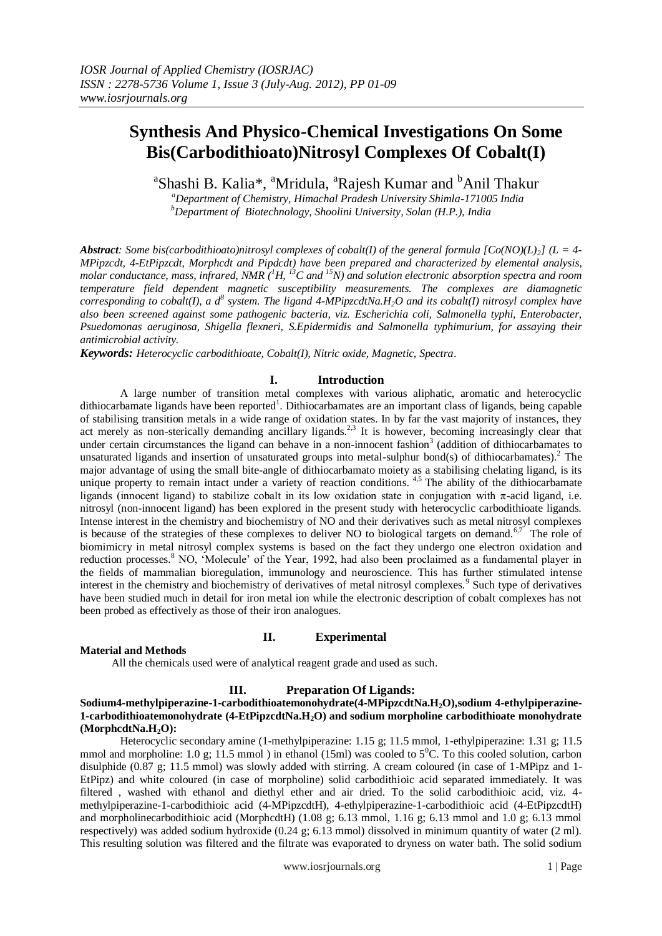<sup>a</sup>Shashi B. Kalia\*, <sup>a</sup>Mridula, <sup>a</sup>Rajesh Kumar and <sup>b</sup>Anil Thakur

*<sup>a</sup>Department of Chemistry, Himachal Pradesh University Shimla-171005 India <sup>b</sup>Department of Biotechnology, Shoolini University, Solan (H.P.), India*

*Abstract: Some bis(carbodithioato)nitrosyl complexes of cobalt(I) of the general formula [Co(NO)(L)2] (L = 4- MPipzcdt, 4-EtPipzcdt, Morphcdt and Pipdcdt) have been prepared and characterized by elemental analysis, molar conductance, mass, infrared, NMR (<sup>1</sup>H, <sup>13</sup>C and <sup>15</sup>N) and solution electronic absorption spectra and room temperature field dependent magnetic susceptibility measurements. The complexes are diamagnetic corresponding to cobalt(I), a d<sup>8</sup> system. The ligand 4-MPipzcdtNa.H2O and its cobalt(I) nitrosyl complex have also been screened against some pathogenic bacteria, viz. Escherichia coli, Salmonella typhi, Enterobacter, Psuedomonas aeruginosa, Shigella flexneri, S.Epidermidis and Salmonella typhimurium, for assaying their antimicrobial activity.*

*Keywords: Heterocyclic carbodithioate, Cobalt(I), Nitric oxide, Magnetic, Spectra*.

#### **I. Introduction**

A large number of transition metal complexes with various aliphatic, aromatic and heterocyclic dithiocarbamate ligands have been reported<sup>1</sup>. Dithiocarbamates are an important class of ligands, being capable of stabilising transition metals in a wide range of oxidation states. In by far the vast majority of instances, they act merely as non-sterically demanding ancillary ligands.<sup>2,3</sup> It is however, becoming increasingly clear that under certain circumstances the ligand can behave in a non-innocent fashion<sup>3</sup> (addition of dithiocarbamates to unsaturated ligands and insertion of unsaturated groups into metal-sulphur bond(s) of dithiocarbamates).<sup>2</sup> The major advantage of using the small bite-angle of dithiocarbamato moiety as a stabilising chelating ligand, is its unique property to remain intact under a variety of reaction conditions.  $4.5$  The ability of the dithiocarbamate ligands (innocent ligand) to stabilize cobalt in its low oxidation state in conjugation with π-acid ligand, i.e. nitrosyl (non-innocent ligand) has been explored in the present study with heterocyclic carbodithioate ligands. Intense interest in the chemistry and biochemistry of NO and their derivatives such as metal nitrosyl complexes is because of the strategies of these complexes to deliver NO to biological targets on demand.<sup>6,7</sup> The role of biomimicry in metal nitrosyl complex systems is based on the fact they undergo one electron oxidation and reduction processes.<sup>8</sup> NO, 'Molecule' of the Year, 1992, had also been proclaimed as a fundamental player in the fields of mammalian bioregulation, immunology and neuroscience. This has further stimulated intense interest in the chemistry and biochemistry of derivatives of metal nitrosyl complexes.<sup>9</sup> Such type of derivatives have been studied much in detail for iron metal ion while the electronic description of cobalt complexes has not been probed as effectively as those of their iron analogues.

#### **II. Experimental**

#### **Material and Methods**

All the chemicals used were of analytical reagent grade and used as such.

### **III. Preparation Of Ligands:**

#### **Sodium4-methylpiperazine-1-carbodithioatemonohydrate(4-MPipzcdtNa.H2O),sodium 4-ethylpiperazine-1-carbodithioatemonohydrate (4-EtPipzcdtNa.H2O) and sodium morpholine carbodithioate monohydrate (MorphcdtNa.H2O):**

Heterocyclic secondary amine (1-methylpiperazine: 1.15 g; 11.5 mmol, 1-ethylpiperazine: 1.31 g; 11.5 mmol and morpholine: 1.0 g; 11.5 mmol ) in ethanol (15ml) was cooled to  $5^{\circ}$ C. To this cooled solution, carbon disulphide (0.87 g; 11.5 mmol) was slowly added with stirring. A cream coloured (in case of 1-MPipz and 1- EtPipz) and white coloured (in case of morpholine) solid carbodithioic acid separated immediately. It was filtered , washed with ethanol and diethyl ether and air dried. To the solid carbodithioic acid, viz. 4 methylpiperazine-1-carbodithioic acid (4-MPipzcdtH), 4-ethylpiperazine-1-carbodithioic acid (4-EtPipzcdtH) and morpholinecarbodithioic acid (MorphcdtH) (1.08 g; 6.13 mmol, 1.16 g; 6.13 mmol and 1.0 g; 6.13 mmol respectively) was added sodium hydroxide (0.24 g; 6.13 mmol) dissolved in minimum quantity of water (2 ml). This resulting solution was filtered and the filtrate was evaporated to dryness on water bath. The solid sodium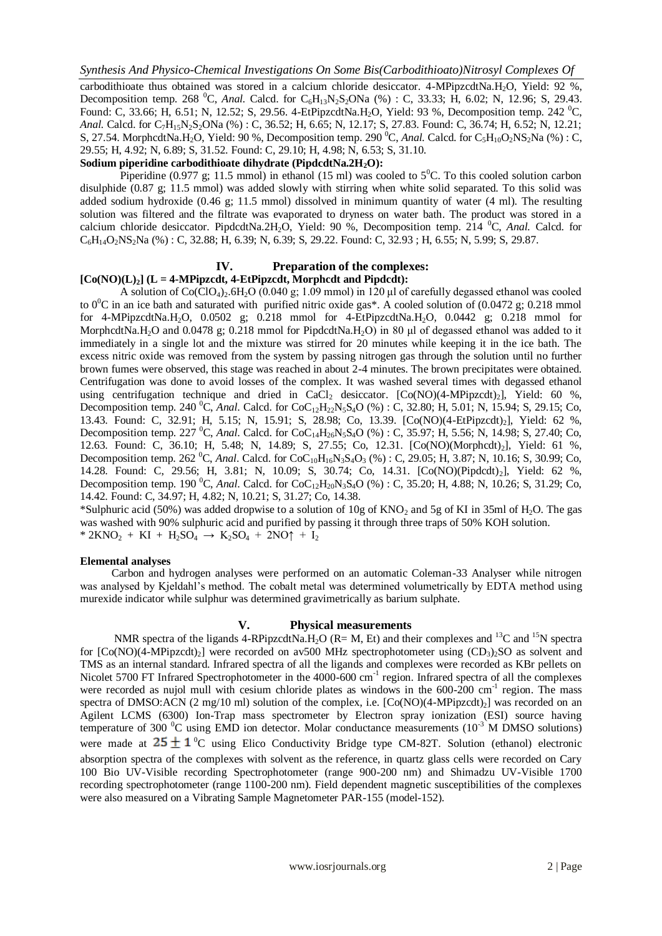carbodithioate thus obtained was stored in a calcium chloride desiccator. 4-MPipzcdtNa.H<sub>2</sub>O, Yield: 92 %, Decomposition temp. 268 <sup>0</sup>C, *Anal.* Calcd. for  $C_6H_{13}N_2S_2ONa$  (%) : C, 33.33; H, 6.02; N, 12.96; S, 29.43. Found: C, 33.66; H, 6.51; N, 12.52; S, 29.56. 4-EtPipzcdtNa.H<sub>2</sub>O, Yield: 93 %, Decomposition temp. 242 <sup>0</sup>C, *Anal.* Calcd. for C<sub>7</sub>H<sub>15</sub>N<sub>2</sub>S<sub>2</sub>ONa (%): C, 36.52; H, 6.65; N, 12.17; S, 27.83. Found: C, 36.74; H, 6.52; N, 12.21; S, 27.54. MorphcdtNa.H<sub>2</sub>O, Yield: 90 %, Decomposition temp. 290 <sup>0</sup>C, *Anal.* Calcd. for C<sub>5</sub>H<sub>10</sub>O<sub>2</sub>NS<sub>2</sub>Na (%): C, 29.55; H, 4.92; N, 6.89; S, 31.52. Found: C, 29.10; H, 4.98; N, 6.53; S, 31.10.

#### **Sodium piperidine carbodithioate dihydrate (PipdcdtNa.2H2O):**

Piperidine (0.977 g; 11.5 mmol) in ethanol (15 ml) was cooled to  $5^{\circ}$ C. To this cooled solution carbon disulphide (0.87 g; 11.5 mmol) was added slowly with stirring when white solid separated. To this solid was added sodium hydroxide (0.46 g; 11.5 mmol) dissolved in minimum quantity of water (4 ml). The resulting solution was filtered and the filtrate was evaporated to dryness on water bath. The product was stored in a calcium chloride desiccator. PipdcdtNa.2H2O, Yield: 90 %, Decomposition temp. 214 <sup>0</sup>C, *Anal.* Calcd. for  $C_6H_{14}O_2$ NS<sub>2</sub>Na (%) : C, 32.88; H, 6.39; N, 6.39; S, 29.22. Found: C, 32.93; H, 6.55; N, 5.99; S, 29.87.

#### **IV. Preparation of the complexes:**

## $[Co(NO)(L)<sub>2</sub>]$  ( $L = 4-MPipzcdt$ ,  $4-EtPipzcdt$ , Morphcdt and Pipdcdt):

A solution of  $Co(CIO<sub>4</sub>)<sub>2</sub>$ .6H<sub>2</sub>O (0.040 g; 1.09 mmol) in 120 µl of carefully degassed ethanol was cooled to  $0^{\circ}$ C in an ice bath and saturated with purified nitric oxide gas\*. A cooled solution of (0.0472 g; 0.218 mmol for 4-MPipzcdtNa.H<sub>2</sub>O, 0.0502 g; 0.218 mmol for 4-EtPipzcdtNa.H<sub>2</sub>O, 0.0442 g; 0.218 mmol for MorphcdtNa.H2O and 0.0478 g; 0.218 mmol for PipdcdtNa.H2O) in 80 μl of degassed ethanol was added to it immediately in a single lot and the mixture was stirred for 20 minutes while keeping it in the ice bath. The excess nitric oxide was removed from the system by passing nitrogen gas through the solution until no further brown fumes were observed, this stage was reached in about 2-4 minutes. The brown precipitates were obtained. Centrifugation was done to avoid losses of the complex. It was washed several times with degassed ethanol using centrifugation technique and dried in CaCl<sub>2</sub> desiccator. [Co(NO)(4-MPipzcdt)<sub>2</sub>], Yield: 60 %, Decomposition temp. 240 <sup>o</sup>C, *Anal*. Calcd. for CoC<sub>12</sub>H<sub>22</sub>N<sub>5</sub>S<sub>4</sub>O (%) : C, 32.80; H, 5.01; N, 15.94; S, 29.15; Co, 13.43. Found: C, 32.91; H, 5.15; N, 15.91; S, 28.98; Co, 13.39. [Co(NO)(4-EtPipzcdt)<sub>2</sub>], Yield: 62 %, Decomposition temp. 227 <sup>0</sup>C, *Anal*. Calcd. for CoC<sub>14</sub>H<sub>26</sub>N<sub>5</sub>S<sub>4</sub>O (%) : C, 35.97; H, 5.56; N, 14.98; S, 27.40; Co, 12.63. Found: C, 36.10; H, 5.48; N, 14.89; S, 27.55; Co, 12.31. [Co(NO)(Morphcdt)<sub>2</sub>], Yield: 61 %, Decomposition temp. 262 <sup>0</sup>C, *Anal*. Calcd. for CoC<sub>10</sub>H<sub>16</sub>N<sub>3</sub>S<sub>4</sub>O<sub>3</sub> (%) : C, 29.05; H, 3.87; N, 10.16; S, 30.99; Co, 14.28. Found: C, 29.56; H, 3.81; N, 10.09; S, 30.74; Co, 14.31. [Co(NO)(Pipdcdt)<sub>2</sub>], Yield: 62 %, Decomposition temp. 190 <sup>0</sup>C, *Anal*. Calcd. for CoC<sub>12</sub>H<sub>20</sub>N<sub>3</sub>S<sub>4</sub>O (%) : C, 35.20; H, 4.88; N, 10.26; S, 31.29; Co, 14.42. Found: C, 34.97; H, 4.82; N, 10.21; S, 31.27; Co, 14.38.

\*Sulphuric acid (50%) was added dropwise to a solution of 10g of  $KNO_2$  and 5g of KI in 35ml of H<sub>2</sub>O. The gas was washed with 90% sulphuric acid and purified by passing it through three traps of 50% KOH solution. \* 2KNO<sub>2</sub> + KI + H<sub>2</sub>SO<sub>4</sub>  $\rightarrow$  K<sub>2</sub>SO<sub>4</sub> + 2NO $\uparrow$  + I<sub>2</sub>

#### **Elemental analyses**

Carbon and hydrogen analyses were performed on an automatic Coleman-33 Analyser while nitrogen was analysed by Kjeldahl's method. The cobalt metal was determined volumetrically by EDTA method using murexide indicator while sulphur was determined gravimetrically as barium sulphate.

### **V. Physical measurements**

NMR spectra of the ligands 4-RPipzcdtNa.H<sub>2</sub>O (R= M, Et) and their complexes and <sup>13</sup>C and <sup>15</sup>N spectra for  $[Co(NO)(4-MPipzcdt)]$  were recorded on av500 MHz spectrophotometer using  $(CD_3)_2SO$  as solvent and TMS as an internal standard. Infrared spectra of all the ligands and complexes were recorded as KBr pellets on Nicolet 5700 FT Infrared Spectrophotometer in the 4000-600 cm<sup>-1</sup> region. Infrared spectra of all the complexes were recorded as nujol mull with cesium chloride plates as windows in the 600-200 cm<sup>-1</sup> region. The mass spectra of DMSO:ACN (2 mg/10 ml) solution of the complex, i.e.  $[Co(NO)(4-MPipzcdt)<sub>2</sub>]$  was recorded on an Agilent LCMS (6300) Ion-Trap mass spectrometer by Electron spray ionization (ESI) source having temperature of 300  $\rm{^0C}$  using EMD ion detector. Molar conductance measurements (10<sup>-3</sup> M DMSO solutions) were made at  $25 \pm 1$ <sup>o</sup>C using Elico Conductivity Bridge type CM-82T. Solution (ethanol) electronic absorption spectra of the complexes with solvent as the reference, in quartz glass cells were recorded on Cary 100 Bio UV-Visible recording Spectrophotometer (range 900-200 nm) and Shimadzu UV-Visible 1700 recording spectrophotometer (range 1100-200 nm). Field dependent magnetic susceptibilities of the complexes were also measured on a Vibrating Sample Magnetometer PAR-155 (model-152).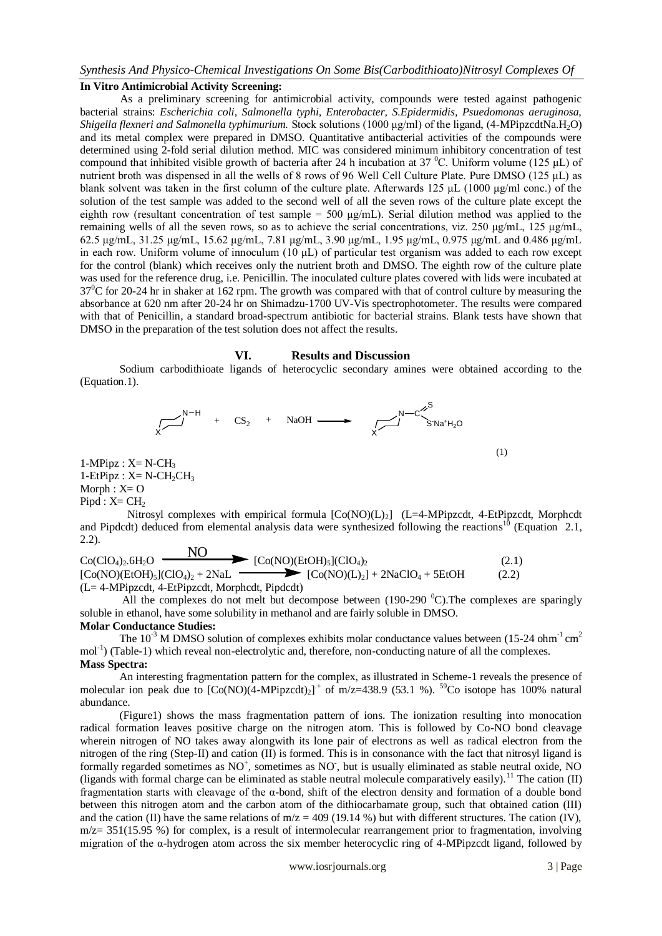# **In Vitro Antimicrobial Activity Screening:**

As a preliminary screening for antimicrobial activity, compounds were tested against pathogenic bacterial strains: *Escherichia coli, Salmonella typhi, Enterobacter, S.Epidermidis, Psuedomonas aeruginosa, Shigella flexneri and Salmonella typhimurium.* Stock solutions (1000 μg/ml) of the ligand, (4-MPipzcdtNa.H2O) and its metal complex were prepared in DMSO. Quantitative antibacterial activities of the compounds were determined using 2-fold serial dilution method. MIC was considered minimum inhibitory concentration of test compound that inhibited visible growth of bacteria after 24 h incubation at 37  $^{\circ}$ C. Uniform volume (125 µL) of nutrient broth was dispensed in all the wells of 8 rows of 96 Well Cell Culture Plate. Pure DMSO (125 μL) as blank solvent was taken in the first column of the culture plate. Afterwards 125 μL (1000 μg/ml conc.) of the solution of the test sample was added to the second well of all the seven rows of the culture plate except the eighth row (resultant concentration of test sample = 500 μg/mL). Serial dilution method was applied to the remaining wells of all the seven rows, so as to achieve the serial concentrations, viz. 250 μg/mL, 125 μg/mL, 62.5 μg/mL, 31.25 μg/mL, 15.62 μg/mL, 7.81 μg/mL, 3.90 μg/mL, 1.95 μg/mL, 0.975 μg/mL and 0.486 μg/mL in each row. Uniform volume of innoculum (10 μL) of particular test organism was added to each row except for the control (blank) which receives only the nutrient broth and DMSO. The eighth row of the culture plate was used for the reference drug, i.e. Penicillin. The inoculated culture plates covered with lids were incubated at  $37^{\circ}$ C for 20-24 hr in shaker at 162 rpm. The growth was compared with that of control culture by measuring the absorbance at 620 nm after 20-24 hr on Shimadzu-1700 UV-Vis spectrophotometer. The results were compared with that of Penicillin, a standard broad-spectrum antibiotic for bacterial strains. Blank tests have shown that DMSO in the preparation of the test solution does not affect the results.

#### **VI. Results and Discussion**

Sodium carbodithioate ligands of heterocyclic secondary amines were obtained according to the (Equation.1).



 $1-MPipz : X=N-CH<sub>3</sub>$  $1-EtPipz : X=N-CH_2CH_3$  $Morph: X = O$  $Pipd : X = CH<sub>2</sub>$ 

Nitrosyl complexes with empirical formula  $[Co(NO)(L)_2]$  (L=4-MPipzcdt, 4-EtPipzcdt, Morphcdt and Pipdcdt) deduced from elemental analysis data were synthesized following the reactions<sup>10</sup> (Equation 2.1, 2.2).  $\overline{N}$ 

$$
Co(CIO4)2.6H2O
$$
  
\n[Co(NO)(EtOH)<sub>5</sub>](ClO<sub>4</sub>)<sub>2</sub> + 2NaL  
\n[Co(NO)(LiOH)<sub>5</sub>](ClO<sub>4</sub>)<sub>2</sub> + 2NaL  
\n[Co(NO)(L)<sub>2</sub>] + 2NaClO<sub>4</sub> + 5EtOH  
\n(L= 4-MPipzcdt, 4-EtPipzcdt, Morphedt, Pipdcdt) (2.2)

All the complexes do not melt but decompose between (190-290  $^{\circ}$ C). The complexes are sparingly soluble in ethanol, have some solubility in methanol and are fairly soluble in DMSO.

#### **Molar Conductance Studies:**

The  $10^{-3}$  M DMSO solution of complexes exhibits molar conductance values between (15-24 ohm<sup>-1</sup> cm<sup>2</sup> mol<sup>-1</sup>) (Table-1) which reveal non-electrolytic and, therefore, non-conducting nature of all the complexes. **Mass Spectra:**

An interesting fragmentation pattern for the complex, as illustrated in Scheme-1 reveals the presence of molecular ion peak due to  $[Co(NO)(4-MPipzcdt)<sub>2</sub>]$ <sup>+</sup> of m/z=438.9 (53.1 %). <sup>59</sup>Co isotope has 100% natural abundance.

(Figure1) shows the mass fragmentation pattern of ions. The ionization resulting into monocation radical formation leaves positive charge on the nitrogen atom. This is followed by Co-NO bond cleavage wherein nitrogen of NO takes away alongwith its lone pair of electrons as well as radical electron from the nitrogen of the ring (Step-II) and cation (II) is formed. This is in consonance with the fact that nitrosyl ligand is formally regarded sometimes as NO<sup>+</sup>, sometimes as NO<sup>-</sup>, but is usually eliminated as stable neutral oxide, NO (ligands with formal charge can be eliminated as stable neutral molecule comparatively easily).<sup>11</sup> The cation (II) fragmentation starts with cleavage of the  $\alpha$ -bond, shift of the electron density and formation of a double bond between this nitrogen atom and the carbon atom of the dithiocarbamate group, such that obtained cation (III) and the cation (II) have the same relations of  $m/z = 409$  (19.14 %) but with different structures. The cation (IV),  $m/z = 351(15.95\%)$  for complex, is a result of intermolecular rearrangement prior to fragmentation, involving migration of the α-hydrogen atom across the six member heterocyclic ring of 4-MPipzcdt ligand, followed by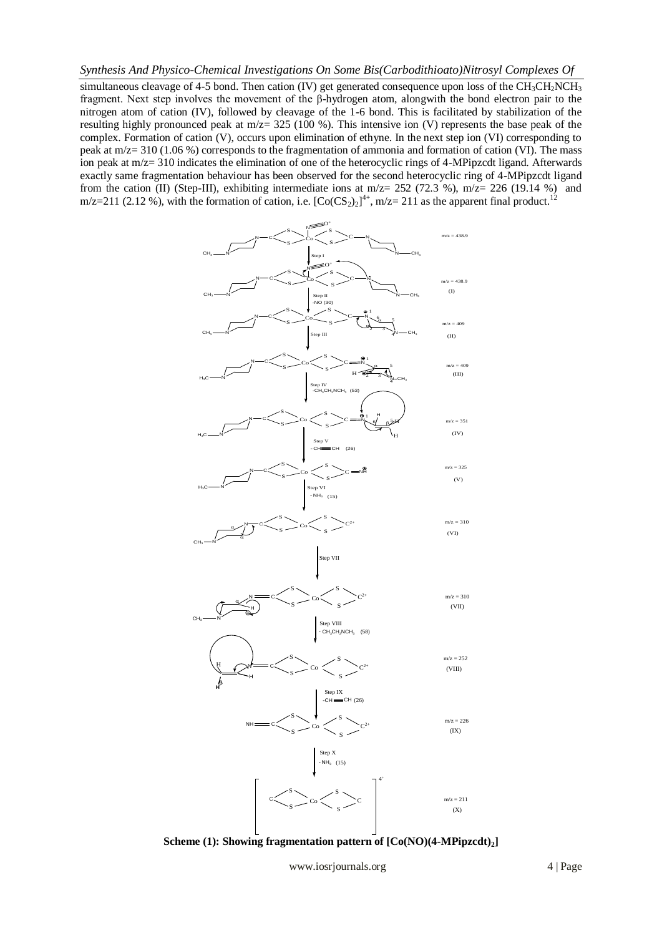simultaneous cleavage of 4-5 bond. Then cation (IV) get generated consequence upon loss of the  $CH_3CH_2NCH_3$ fragment. Next step involves the movement of the β-hydrogen atom, alongwith the bond electron pair to the nitrogen atom of cation (IV), followed by cleavage of the 1-6 bond. This is facilitated by stabilization of the resulting highly pronounced peak at m/z= 325 (100 %). This intensive ion (V) represents the base peak of the complex. Formation of cation (V), occurs upon elimination of ethyne. In the next step ion (VI) corresponding to peak at m/z= 310 (1.06 %) corresponds to the fragmentation of ammonia and formation of cation (VI). The mass ion peak at m/z= 310 indicates the elimination of one of the heterocyclic rings of 4-MPipzcdt ligand. Afterwards exactly same fragmentation behaviour has been observed for the second heterocyclic ring of 4-MPipzcdt ligand from the cation (II) (Step-III), exhibiting intermediate ions at  $m/z = 252$  (72.3 %),  $m/z = 226$  (19.14 %) and m/z=211 (2.12 %), with the formation of cation, i.e.  $[Co(CS_2)_2]^{4+}$ , m/z= 211 as the apparent final product.<sup>12</sup>



**Scheme (1): Showing fragmentation pattern of [Co(NO)(4-MPipzcdt)2]**

www.iosrjournals.org 4 | Page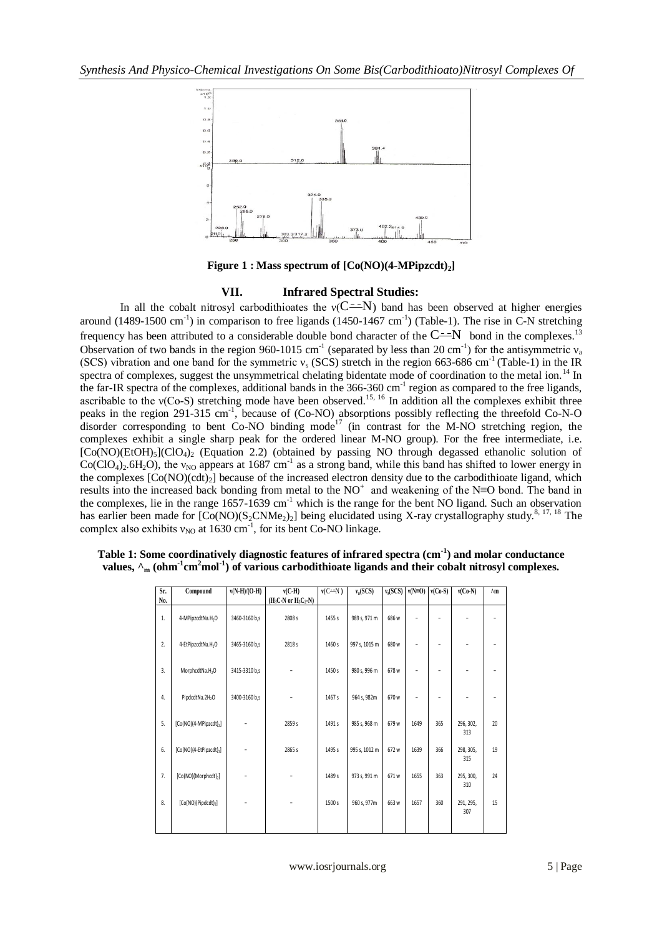

**Figure 1 : Mass spectrum of [Co(NO)(4-MPipzcdt)2]**

### **VII. Infrared Spectral Studies:**

In all the cobalt nitrosyl carbodithioates the  $v(C = N)$  band has been observed at higher energies around  $(1489-1500 \text{ cm}^{-1})$  in comparison to free ligands  $(1450-1467 \text{ cm}^{-1})$  (Table-1). The rise in C-N stretching frequency has been attributed to a considerable double bond character of the  $C^{\frac{-1}{N}}$  bond in the complexes.<sup>13</sup> Observation of two bands in the region 960-1015 cm<sup>-1</sup> (separated by less than 20 cm<sup>-1</sup>) for the antisymmetric  $v_a$ (SCS) vibration and one band for the symmetric  $v_s$  (SCS) stretch in the region 663-686 cm<sup>-1</sup> (Table-1) in the IR spectra of complexes, suggest the unsymmetrical chelating bidentate mode of coordination to the metal ion.<sup>14</sup> In the far-IR spectra of the complexes, additional bands in the 366-360 cm<sup>-1</sup> region as compared to the free ligands, ascribable to the  $v(Co-S)$  stretching mode have been observed.<sup>15, 16</sup> In addition all the complexes exhibit three peaks in the region 291-315 cm<sup>-1</sup>, because of (Co-NO) absorptions possibly reflecting the threefold Co-N-O disorder corresponding to bent Co-NO binding mode<sup>17</sup> (in contrast for the M-NO stretching region, the complexes exhibit a single sharp peak for the ordered linear M-NO group). For the free intermediate, i.e.  $[Co(NO)(EtOH)_{5}]$  $(CIO_{4})_{2}$  (Equation 2.2) (obtained by passing NO through degassed ethanolic solution of  $Co(CIO<sub>4</sub>)<sub>2</sub>$ .6H<sub>2</sub>O), the  $v_{NO}$  appears at 1687 cm<sup>-1</sup> as a strong band, while this band has shifted to lower energy in the complexes  $[Co(NO)(cd)_2]$  because of the increased electron density due to the carbodithioate ligand, which results into the increased back bonding from metal to the  $NO^+$  and weakening of the N≡O bond. The band in the complexes, lie in the range 1657-1639 cm<sup>-1</sup> which is the range for the bent NO ligand. Such an observation has earlier been made for  $[Co(NO)(S_2CNMe_2)_2]$  being elucidated using X-ray crystallography study.<sup>8, 17, 18</sup> The complex also exhibits  $v_{NO}$  at 1630 cm<sup>-1</sup>, for its bent Co-NO linkage.

| Sr. | Compound                            | $v(N-H)/(O-H)$ | $v(C-H)$                                      | $v(C = N)$ | $v_a (SCS)$   | $v_s(SCS)$ | $v(N=0)$ | $v(Co-S)$                | $v(Co-N)$        | $\wedge m$ |
|-----|-------------------------------------|----------------|-----------------------------------------------|------------|---------------|------------|----------|--------------------------|------------------|------------|
| No. |                                     |                | $(H_3C\text{-}N \text{ or } H_5C_2\text{-}N)$ |            |               |            |          |                          |                  |            |
| 1.  | 4-MPipzcdtNa.H <sub>2</sub> O       | 3460-3160 b,s  | 2808 s                                        | 1455 s     | 989 s, 971 m  | 686 w      |          |                          |                  |            |
| 2.  | 4-EtPipzcdtNa.H <sub>2</sub> O      | 3465-3160 b,s  | 2818 s                                        | 1460 s     | 997 s, 1015 m | 680 w      | ٠        | $\overline{\phantom{0}}$ | $\overline{a}$   |            |
| 3.  | MorphcdtNa.H <sub>2</sub> O         | 3415-3310 b,s  |                                               | 1450 s     | 980 s, 996 m  | 678 w      | ٠        | ٠                        |                  |            |
| 4.  | PipdcdtNa.2H <sub>2</sub> O         | 3400-3160 b,s  |                                               | 1467 s     | 964 s, 982m   | 670 w      | ٠        | ÷                        |                  |            |
| 5.  | $[Co(NO)(4-MPipzcdt)2]$             |                | 2859 s                                        | 1491 s     | 985 s, 968 m  | 679 w      | 1649     | 365                      | 296, 302,<br>313 | 20         |
| 6.  | [Co(NO)(4-EtPipzcdt) <sub>2</sub> ] |                | 2865 s                                        | 1495 s     | 995 s, 1012 m | 672 w      | 1639     | 366                      | 298, 305,<br>315 | 19         |
| 7.  | [Co(NO)(Morphcdt) <sub>2</sub> ]    |                |                                               | 1489 s     | 973 s, 991 m  | 671 w      | 1655     | 363                      | 295, 300,<br>310 | 24         |
| 8.  | [Co(NO)(Pipdcdt) <sub>2</sub> ]     | ٠              |                                               | 1500 s     | 960 s, 977m   | 663 w      | 1657     | 360                      | 291, 295,<br>307 | 15         |
|     |                                     |                |                                               |            |               |            |          |                          |                  |            |

| Table 1: Some coordinatively diagnostic features of infrared spectra (cm <sup>-1</sup> ) and molar conductance                                    |  |
|---------------------------------------------------------------------------------------------------------------------------------------------------|--|
| values, $\lambda_m$ (ohm <sup>-1</sup> cm <sup>2</sup> mol <sup>-1</sup> ) of various carbodithioate ligands and their cobalt nitrosyl complexes. |  |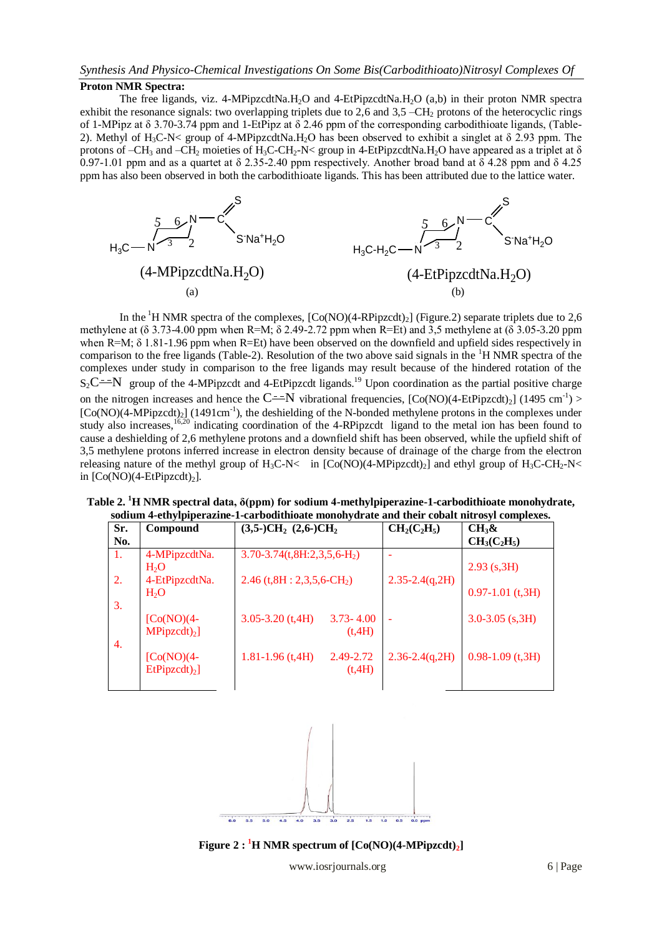## **Proton NMR Spectra:**

The free ligands, viz. 4-MPipzcdtNa.H<sub>2</sub>O and 4-EtPipzcdtNa.H<sub>2</sub>O (a,b) in their proton NMR spectra exhibit the resonance signals: two overlapping triplets due to 2,6 and  $3.5 - \text{CH}_2$  protons of the heterocyclic rings of 1-MPipz at δ 3.70-3.74 ppm and 1-EtPipz at δ 2.46 ppm of the corresponding carbodithioate ligands, (Table-2). Methyl of H<sub>3</sub>C-N< group of 4-MPipzcdtNa.H<sub>2</sub>O has been observed to exhibit a singlet at  $\delta$  2.93 ppm. The protons of –CH<sub>3</sub> and –CH<sub>2</sub> moieties of H<sub>3</sub>C-CH<sub>2</sub>-N< group in 4-EtPipzcdtNa.H<sub>2</sub>O have appeared as a triplet at  $\delta$ 0.97-1.01 ppm and as a quartet at  $\delta$  2.35-2.40 ppm respectively. Another broad band at  $\delta$  4.28 ppm and  $\delta$  4.25 ppm has also been observed in both the carbodithioate ligands. This has been attributed due to the lattice water.



In the <sup>1</sup>H NMR spectra of the complexes,  $[Co(NO)(4-RPipzcdt)<sub>2</sub>]$  (Figure.2) separate triplets due to 2,6 methylene at (δ 3.73-4.00 ppm when R=M; δ 2.49-2.72 ppm when R=Et) and 3,5 methylene at (δ 3.05-3.20 ppm when R=M;  $\delta$  1.81-1.96 ppm when R=Et) have been observed on the downfield and upfield sides respectively in comparison to the free ligands (Table-2). Resolution of the two above said signals in the <sup>1</sup>H NMR spectra of the complexes under study in comparison to the free ligands may result because of the hindered rotation of the  $S_2C \rightarrow N$  group of the 4-MPipzcdt and 4-EtPipzcdt ligands.<sup>19</sup> Upon coordination as the partial positive charge on the nitrogen increases and hence the  $C^{\frac{-1}{N}}$  vibrational frequencies,  $[Co(NO)(4-EtPipzcdt)<sub>2</sub>]$  (1495 cm<sup>-1</sup>) >  $[Co(NO)(4-MPipzcdt)<sub>2</sub>]$  (1491cm<sup>-1</sup>), the deshielding of the N-bonded methylene protons in the complexes under study also increases,<sup>16,20</sup> indicating coordination of the 4-RPipzcdt ligand to the metal ion has been found to cause a deshielding of 2,6 methylene protons and a downfield shift has been observed, while the upfield shift of 3,5 methylene protons inferred increase in electron density because of drainage of the charge from the electron releasing nature of the methyl group of  $H_3C\text{-}N<$  in  $[Co(NO)(4-MPipzcdt)_2]$  and ethyl group of  $H_3C\text{-}CH_2\text{-}N<$ in  $[Co(NO)(4-EtPipzcdt)<sub>2</sub>]$ .

**Table 2. <sup>1</sup>H NMR spectral data, δ(ppm) for sodium 4-methylpiperazine-1-carbodithioate monohydrate, sodium 4-ethylpiperazine-1-carbodithioate monohydrate and their cobalt nitrosyl complexes.**

| sourum 4-curyipipei azine-1-cai bourumoate mononyui ate anu their cobait mu osyf complexes. |                            |                                             |                     |                       |  |  |  |  |
|---------------------------------------------------------------------------------------------|----------------------------|---------------------------------------------|---------------------|-----------------------|--|--|--|--|
| Sr.                                                                                         | Compound                   | $(3,5-)CH2$ $(2,6-)CH2$                     | $CH2(C2H5)$         | $CH_3\&$              |  |  |  |  |
| No.                                                                                         |                            |                                             |                     | $CH3(C2H5)$           |  |  |  |  |
| -1.                                                                                         | 4-MPipzcdtNa.              | $3.70 - 3.74$ (t, $8H:2,3,5,6-H2$ )         |                     |                       |  |  |  |  |
|                                                                                             | H <sub>2</sub> O           |                                             |                     | $2.93$ (s, 3H)        |  |  |  |  |
| 2.                                                                                          | 4-EtPipzcdtNa.             | $2.46$ (t, $8H: 2,3,5,6$ -CH <sub>2</sub> ) | $2.35 - 2.4(q, 2H)$ |                       |  |  |  |  |
|                                                                                             | H <sub>2</sub> O           |                                             |                     | $0.97 - 1.01$ (t, 3H) |  |  |  |  |
| 3.                                                                                          |                            |                                             |                     |                       |  |  |  |  |
|                                                                                             | $[Co(NO)(4-$               | $3.05 - 3.20$ (t, 4H)<br>$3.73 - 4.00$      | ۰                   | $3.0 - 3.05$ (s, 3H)  |  |  |  |  |
|                                                                                             | $MPipzcdt)_2$              | (t,4H)                                      |                     |                       |  |  |  |  |
| 4.                                                                                          |                            |                                             |                     |                       |  |  |  |  |
|                                                                                             | $[Co(NO)(4-$               | $1.81 - 1.96$ (t, 4H)<br>2.49-2.72          | $2.36 - 2.4(q, 2H)$ | $0.98 - 1.09$ (t, 3H) |  |  |  |  |
|                                                                                             | $EtPipzcdt$ <sub>2</sub> ] | (t,4H)                                      |                     |                       |  |  |  |  |
|                                                                                             |                            |                                             |                     |                       |  |  |  |  |



**Figure 2 : <sup>1</sup><b>H** NMR spectrum of  $[Co(NO)(4-MPipzcdt)<sub>2</sub>]$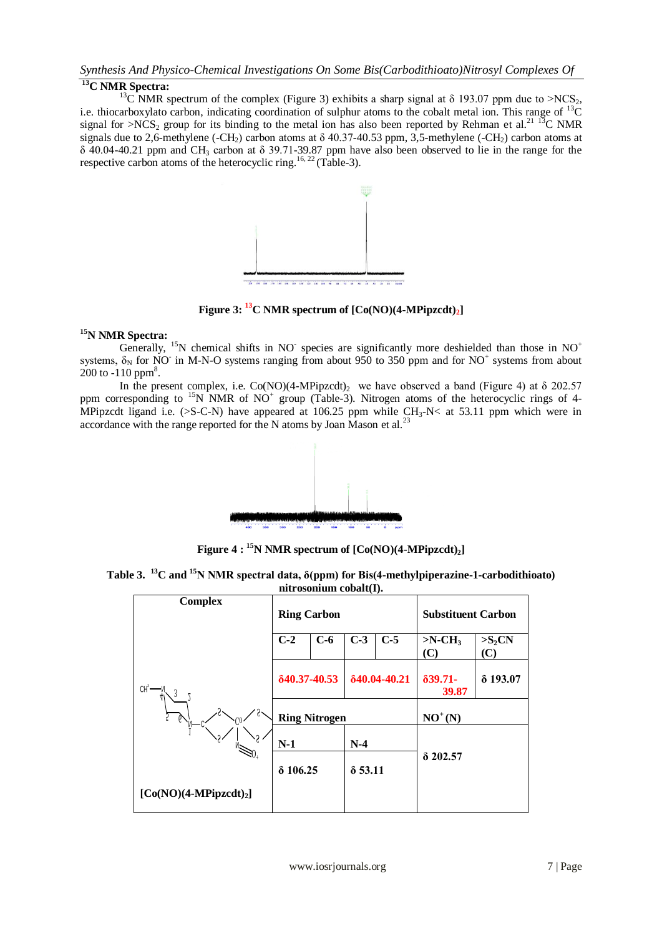# **<sup>13</sup>C NMR Spectra:**

<sup>13</sup>C NMR spectrum of the complex (Figure 3) exhibits a sharp signal at  $\delta$  193.07 ppm due to >NCS<sub>2</sub>, i.e. thiocarboxylato carbon, indicating coordination of sulphur atoms to the cobalt metal ion. This range of <sup>13</sup>C signal for  $>NCS_2$  group for its binding to the metal ion has also been reported by Rehman et al.<sup>21</sup> <sup>13</sup>C NMR signals due to 2,6-methylene (-CH<sub>2</sub>) carbon atoms at  $\delta$  40.37-40.53 ppm, 3,5-methylene (-CH<sub>2</sub>) carbon atoms at  $δ$  40.04-40.21 ppm and CH<sub>3</sub> carbon at  $δ$  39.71-39.87 ppm have also been observed to lie in the range for the respective carbon atoms of the heterocyclic ring.<sup>16, 22</sup> (Table-3).



**Figure 3:**  $^{13}$ **C** NMR spectrum of  $[Co(NO)(4-MPipzcdt)<sub>2</sub>]$ 

## **<sup>15</sup>N NMR Spectra:**

Generally, <sup>15</sup>N chemical shifts in NO<sup>-</sup> species are significantly more deshielded than those in NO<sup>+</sup> systems,  $\delta_N$  for NO in M-N-O systems ranging from about 950 to 350 ppm and for NO<sup>+</sup> systems from about  $200$  to  $-110$  ppm<sup>8</sup>.

In the present complex, i.e.  $Co(NO)(4-MPipzcdt)$ , we have observed a band (Figure 4) at  $\delta$  202.57 ppm corresponding to <sup>15</sup>N NMR of NO<sup>+</sup> group (Table-3). Nitrogen atoms of the heterocyclic rings of 4-MPipzcdt ligand i.e. ( $>$ S-C-N) have appeared at 106.25 ppm while CH<sub>3</sub>-N< at 53.11 ppm which were in accordance with the range reported for the N atoms by Joan Mason et al.<sup>23</sup>



**Figure 4 : <sup>15</sup>N NMR spectrum of [Co(NO)(4-MPipzcdt)2]**

**Table 3. <sup>13</sup>C and <sup>15</sup>N NMR spectral data, δ(ppm) for Bis(4-methylpiperazine-1-carbodithioato) nitrosonium cobalt(I).**

| <b>Complex</b>          | <b>Ring Carbon</b>   |       |                | <b>Substituent Carbon</b> |                              |                 |
|-------------------------|----------------------|-------|----------------|---------------------------|------------------------------|-----------------|
|                         | $C-2$                | $C-6$ | $C-3$          | $C-5$                     | $>N$ -CH <sub>3</sub><br>(C) | $>S_2CN$<br>(C) |
| CH <sup>3</sup><br>3    | 840.37-40.53         |       | 840.04-40.21   |                           | $\delta$ 39.71-<br>39.87     | $\delta$ 193.07 |
| $\mathbb{Q}^n$          | <b>Ring Nitrogen</b> |       |                | $NO+(N)$                  |                              |                 |
| 3'<br>\? ^<br>∥         | $N-1$                |       | $N-4$          |                           |                              |                 |
|                         | $\delta$ 106.25      |       | $\delta$ 53.11 |                           | $\delta$ 202.57              |                 |
| $[Co(NO)(4-MPipzcdt)2]$ |                      |       |                |                           |                              |                 |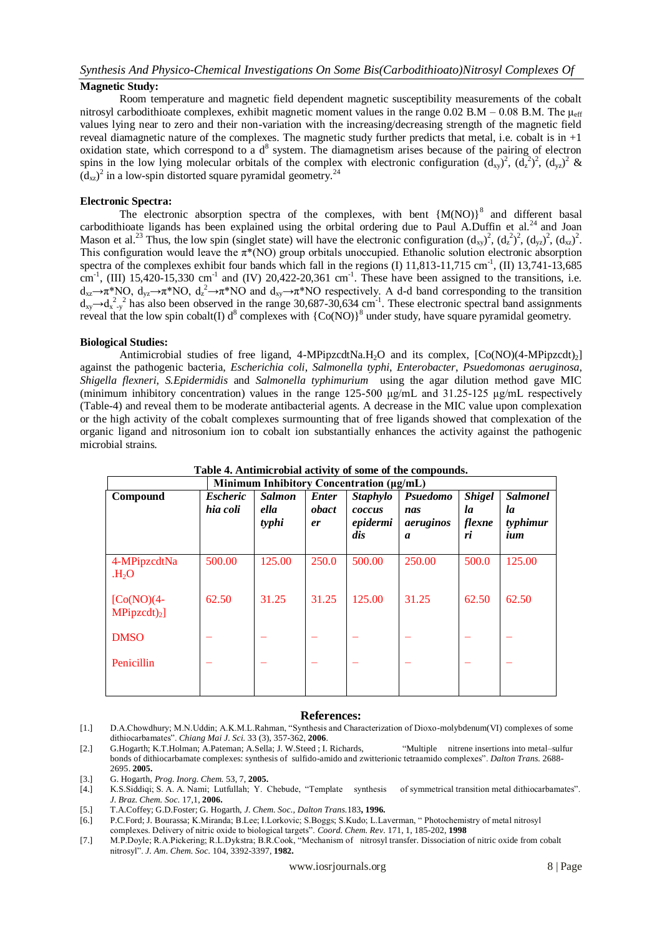## **Magnetic Study:**

Room temperature and magnetic field dependent magnetic susceptibility measurements of the cobalt nitrosyl carbodithioate complexes, exhibit magnetic moment values in the range 0.02 B.M – 0.08 B.M. The  $\mu_{eff}$ values lying near to zero and their non-variation with the increasing/decreasing strength of the magnetic field reveal diamagnetic nature of the complexes. The magnetic study further predicts that metal, i.e. cobalt is in  $+1$ oxidation state, which correspond to a  $d^8$  system. The diamagnetism arises because of the pairing of electron spins in the low lying molecular orbitals of the complex with electronic configuration  $(d_{xy})^2$ ,  $(d_x^2)^2$ ,  $(d_{yz})^2$  &  $(d_{xz})^2$  in a low-spin distorted square pyramidal geometry.<sup>24</sup>

#### **Electronic Spectra:**

The electronic absorption spectra of the complexes, with bent  ${M(NO)}^8$  and different basal carbodithioate ligands has been explained using the orbital ordering due to Paul A.Duffin et al.<sup>24</sup> and Joan Mason et al.<sup>23</sup> Thus, the low spin (singlet state) will have the electronic configuration  $(d_{xy})^2$ ,  $(d_z^2)^2$ ,  $(d_{yz})^2$ ,  $(d_{xz})^2$ . This configuration would leave the  $\pi^*(NO)$  group orbitals unoccupied. Ethanolic solution electronic absorption spectra of the complexes exhibit four bands which fall in the regions (I)  $11,813-11,715$  cm<sup>-1</sup>, (II)  $13,741-13,685$ cm<sup>-1</sup>, (III) 15,420-15,330 cm<sup>-1</sup> and (IV) 20,422-20,361 cm<sup>-1</sup>. These have been assigned to the transitions, i.e.  $d_{xz} \to \pi^* NO$ ,  $d_{yz} \to \pi^* NO$ ,  $d_z^2 \to \pi^* NO$  and  $d_{xy} \to \pi^* NO$  respectively. A d-d band corresponding to the transition  $d_{xy}$   $\rightarrow$   $d_{x-y}^2$  has also been observed in the range 30,687-30,634 cm<sup>-1</sup>. These electronic spectral band assignments reveal that the low spin cobalt(I)  $d^8$  complexes with  ${[Co(NO)]^8}$  under study, have square pyramidal geometry.

### **Biological Studies:**

Antimicrobial studies of free ligand,  $4-MPipzcdtNa.H<sub>2</sub>O$  and its complex,  $[Co(NO)(4-MPipzcdt)<sub>2</sub>]$ against the pathogenic bacteria, *Escherichia coli*, *Salmonella typhi*, *Enterobacter*, *Psuedomonas aeruginosa*, *Shigella flexneri*, *S.Epidermidis* and *Salmonella typhimurium* using the agar dilution method gave MIC (minimum inhibitory concentration) values in the range 125-500 μg/mL and 31.25-125 μg/mL respectively (Table-4) and reveal them to be moderate antibacterial agents. A decrease in the MIC value upon complexation or the high activity of the cobalt complexes surmounting that of free ligands showed that complexation of the organic ligand and nitrosonium ion to cobalt ion substantially enhances the activity against the pathogenic microbial strains.

| Minimum Inhibitory Concentration (µg/mL) |                             |                                |                             |                                              |                                                  |                                     |                                          |  |
|------------------------------------------|-----------------------------|--------------------------------|-----------------------------|----------------------------------------------|--------------------------------------------------|-------------------------------------|------------------------------------------|--|
| Compound                                 | <b>Escheric</b><br>hia coli | <b>Salmon</b><br>ella<br>typhi | <b>Enter</b><br>obact<br>er | <b>Staphylo</b><br>coccus<br>epidermi<br>dis | Psuedomo<br>nas<br>aeruginos<br>$\boldsymbol{a}$ | <b>Shigel</b><br>la<br>flexne<br>ri | <b>Salmonel</b><br>la<br>typhimur<br>ium |  |
| 4-MPipzcdtNa<br>H <sub>2</sub> O         | 500.00                      | 125.00                         | 250.0                       | 500.00                                       | 250.00                                           | 500.0                               | 125.00                                   |  |
| $[Co(NO)(4-$<br>$MPipzcdt)_2$            | 62.50                       | 31.25                          | 31.25                       | 125.00                                       | 31.25                                            | 62.50                               | 62.50                                    |  |
| <b>DMSO</b>                              |                             |                                |                             |                                              |                                                  |                                     |                                          |  |
| Penicillin                               |                             |                                |                             |                                              |                                                  |                                     |                                          |  |

# **Table 4. Antimicrobial activity of some of the compounds.**

#### **References:**

- [1.] D.A.Chowdhury; M.N.Uddin; A.K.M.L.Rahman, "Synthesis and Characterization of Dioxo-molybdenum(VI) complexes of some dithiocarbamates". *Chiang Mai J. Sci.* 33 (3), 357-362, **2006**.
- [2.] G.Hogarth; K.T.Holman; A.Pateman; A.Sella; J. W.Steed ; I. Richards, "Multiple nitrene insertions into metal–sulfur bonds of dithiocarbamate complexes: synthesis of sulfido-amido and zwitterionic tetraamido complexes". *Dalton Trans.* 2688- 2695. **2005.**
- [3.] G. Hogarth, *Prog. Inorg. Chem.* 53, 7, **2005.**
- [4.] K.S.Siddiqi; S. A. A. Nami; Lutfullah; Y. Chebude, "Template synthesis of symmetrical transition metal dithiocarbamates". *J. Braz. Chem. Soc.* 17,1, **2006.**
- [5.] T.A.Coffey; G.D.Foster; G. Hogarth, *J. Chem. Soc., Dalton Trans.*183**, 1996.**
- [6.] P.C.Ford; J. Bourassa; K.Miranda; B.Lee; I.Lorkovic; S.Boggs; S.Kudo; L.Laverman, " Photochemistry of metal nitrosyl complexes. Delivery of nitric oxide to biological targets". *Coord. Chem. Rev.* 171, 1, 185-202, **1998**
- [7.] M.P.Doyle; R.A.Pickering; R.L.Dykstra; B.R.Cook, "Mechanism of nitrosyl transfer. Dissociation of nitric oxide from cobalt nitrosyl". *J. Am. Chem. Soc.* 104, 3392-3397, **1982.**